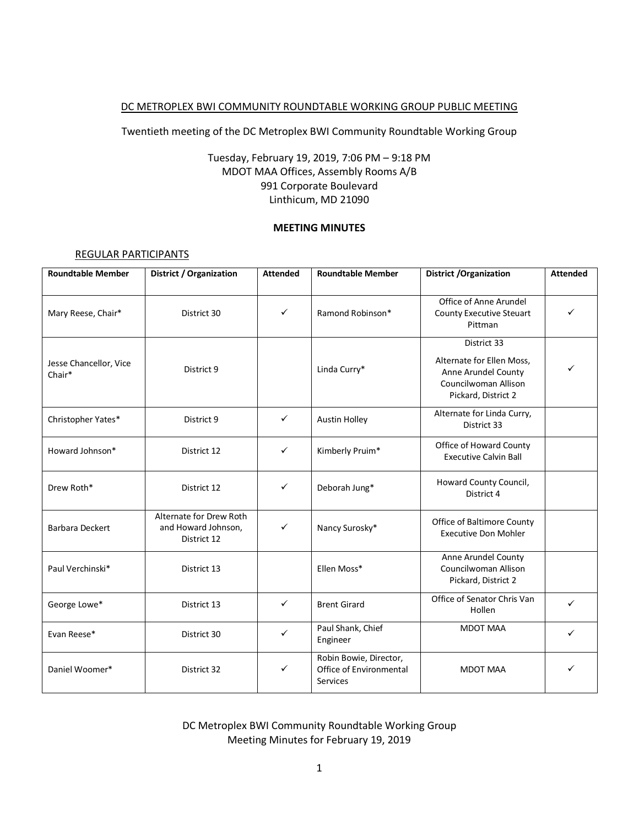#### DC METROPLEX BWI COMMUNITY ROUNDTABLE WORKING GROUP PUBLIC MEETING

Twentieth meeting of the DC Metroplex BWI Community Roundtable Working Group

# Tuesday, February 19, 2019, 7:06 PM – 9:18 PM MDOT MAA Offices, Assembly Rooms A/B 991 Corporate Boulevard Linthicum, MD 21090

#### **MEETING MINUTES**

#### REGULAR PARTICIPANTS

| <b>Roundtable Member</b>         | District / Organization                                       | <b>Attended</b> | <b>Roundtable Member</b>                                      | <b>District /Organization</b>                                                                                  | <b>Attended</b> |
|----------------------------------|---------------------------------------------------------------|-----------------|---------------------------------------------------------------|----------------------------------------------------------------------------------------------------------------|-----------------|
| Mary Reese, Chair*               | District 30                                                   | $\checkmark$    | Ramond Robinson*                                              | Office of Anne Arundel<br><b>County Executive Steuart</b><br>Pittman                                           |                 |
| Jesse Chancellor, Vice<br>Chair* | District 9                                                    |                 | Linda Curry*                                                  | District 33<br>Alternate for Ellen Moss,<br>Anne Arundel County<br>Councilwoman Allison<br>Pickard, District 2 |                 |
| Christopher Yates*               | District 9                                                    | ✓               | Austin Holley                                                 | Alternate for Linda Curry,<br>District 33                                                                      |                 |
| Howard Johnson*                  | District 12                                                   | ✓               | Kimberly Pruim*                                               | Office of Howard County<br><b>Executive Calvin Ball</b>                                                        |                 |
| Drew Roth*                       | District 12                                                   | ✓               | Deborah Jung*                                                 | Howard County Council,<br>District 4                                                                           |                 |
| <b>Barbara Deckert</b>           | Alternate for Drew Roth<br>and Howard Johnson,<br>District 12 | $\checkmark$    | Nancy Surosky*                                                | <b>Office of Baltimore County</b><br><b>Executive Don Mohler</b>                                               |                 |
| Paul Verchinski*                 | District 13                                                   |                 | Ellen Moss*                                                   | Anne Arundel County<br>Councilwoman Allison<br>Pickard, District 2                                             |                 |
| George Lowe*                     | District 13                                                   | ✓               | <b>Brent Girard</b>                                           | Office of Senator Chris Van<br>Hollen                                                                          | ✓               |
| Evan Reese*                      | District 30                                                   | ✓               | Paul Shank, Chief<br>Engineer                                 | <b>MDOT MAA</b>                                                                                                | ✓               |
| Daniel Woomer*                   | District 32                                                   | ✓               | Robin Bowie, Director,<br>Office of Environmental<br>Services | <b>MDOT MAA</b>                                                                                                |                 |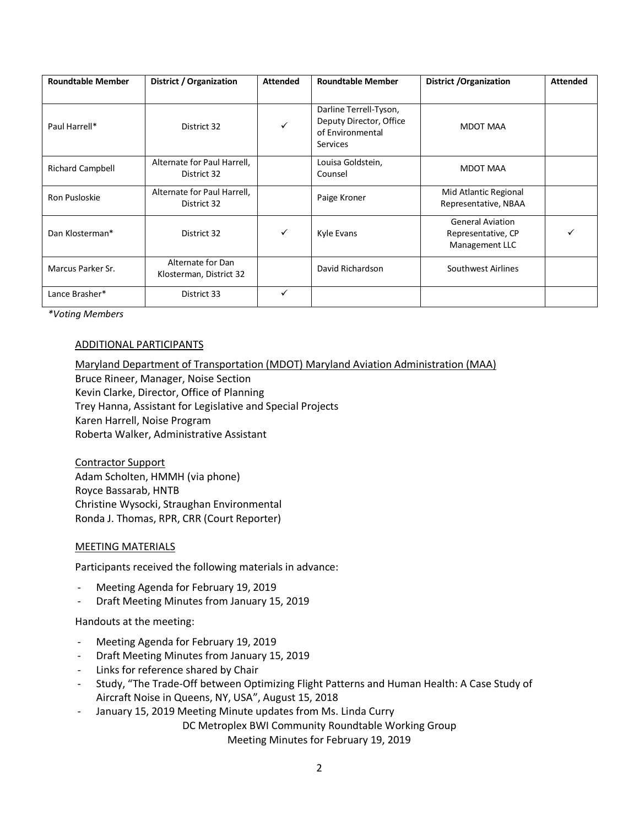| <b>Roundtable Member</b> | District / Organization                      | <b>Attended</b> | <b>Roundtable Member</b>                                                          | <b>District / Organization</b>                                  | <b>Attended</b> |
|--------------------------|----------------------------------------------|-----------------|-----------------------------------------------------------------------------------|-----------------------------------------------------------------|-----------------|
| Paul Harrell*            | District 32                                  | ✓               | Darline Terrell-Tyson,<br>Deputy Director, Office<br>of Environmental<br>Services | <b>MDOT MAA</b>                                                 |                 |
| <b>Richard Campbell</b>  | Alternate for Paul Harrell,<br>District 32   |                 | Louisa Goldstein,<br>Counsel                                                      | <b>MDOT MAA</b>                                                 |                 |
| Ron Pusloskie            | Alternate for Paul Harrell,<br>District 32   |                 | Paige Kroner                                                                      | Mid Atlantic Regional<br>Representative, NBAA                   |                 |
| Dan Klosterman*          | District 32                                  | ✓               | Kyle Evans                                                                        | <b>General Aviation</b><br>Representative, CP<br>Management LLC |                 |
| Marcus Parker Sr.        | Alternate for Dan<br>Klosterman, District 32 |                 | David Richardson                                                                  | Southwest Airlines                                              |                 |
| Lance Brasher*           | District 33                                  | $\checkmark$    |                                                                                   |                                                                 |                 |

*\*Voting Members*

#### ADDITIONAL PARTICIPANTS

Maryland Department of Transportation (MDOT) Maryland Aviation Administration (MAA) Bruce Rineer, Manager, Noise Section Kevin Clarke, Director, Office of Planning Trey Hanna, Assistant for Legislative and Special Projects Karen Harrell, Noise Program Roberta Walker, Administrative Assistant

Contractor Support Adam Scholten, HMMH (via phone) Royce Bassarab, HNTB Christine Wysocki, Straughan Environmental Ronda J. Thomas, RPR, CRR (Court Reporter)

### MEETING MATERIALS

Participants received the following materials in advance:

- Meeting Agenda for February 19, 2019
- Draft Meeting Minutes from January 15, 2019

Handouts at the meeting:

- Meeting Agenda for February 19, 2019
- Draft Meeting Minutes from January 15, 2019
- Links for reference shared by Chair
- Study, "The Trade-Off between Optimizing Flight Patterns and Human Health: A Case Study of Aircraft Noise in Queens, NY, USA", August 15, 2018
- January 15, 2019 Meeting Minute updates from Ms. Linda Curry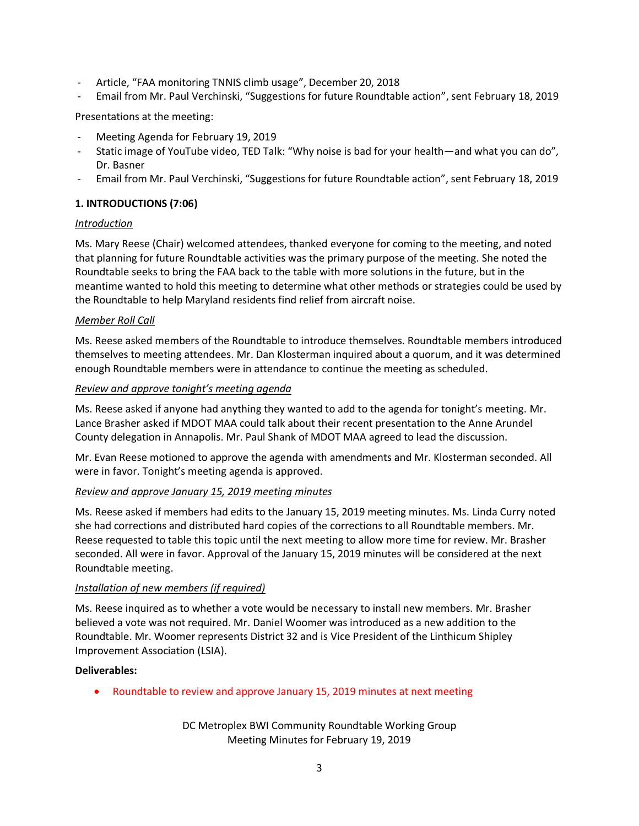- Article, "FAA monitoring TNNIS climb usage", December 20, 2018
- Email from Mr. Paul Verchinski, "Suggestions for future Roundtable action", sent February 18, 2019

Presentations at the meeting:

- Meeting Agenda for February 19, 2019
- Static image of YouTube video, TED Talk: "Why noise is bad for your health—and what you can do"*,* Dr. Basner
- Email from Mr. Paul Verchinski, "Suggestions for future Roundtable action", sent February 18, 2019

### **1. INTRODUCTIONS (7:06)**

### *Introduction*

Ms. Mary Reese (Chair) welcomed attendees, thanked everyone for coming to the meeting, and noted that planning for future Roundtable activities was the primary purpose of the meeting. She noted the Roundtable seeks to bring the FAA back to the table with more solutions in the future, but in the meantime wanted to hold this meeting to determine what other methods or strategies could be used by the Roundtable to help Maryland residents find relief from aircraft noise.

### *Member Roll Call*

Ms. Reese asked members of the Roundtable to introduce themselves. Roundtable members introduced themselves to meeting attendees. Mr. Dan Klosterman inquired about a quorum, and it was determined enough Roundtable members were in attendance to continue the meeting as scheduled.

### *Review and approve tonight's meeting agenda*

Ms. Reese asked if anyone had anything they wanted to add to the agenda for tonight's meeting. Mr. Lance Brasher asked if MDOT MAA could talk about their recent presentation to the Anne Arundel County delegation in Annapolis. Mr. Paul Shank of MDOT MAA agreed to lead the discussion.

Mr. Evan Reese motioned to approve the agenda with amendments and Mr. Klosterman seconded. All were in favor. Tonight's meeting agenda is approved.

### *Review and approve January 15, 2019 meeting minutes*

Ms. Reese asked if members had edits to the January 15, 2019 meeting minutes. Ms. Linda Curry noted she had corrections and distributed hard copies of the corrections to all Roundtable members. Mr. Reese requested to table this topic until the next meeting to allow more time for review. Mr. Brasher seconded. All were in favor. Approval of the January 15, 2019 minutes will be considered at the next Roundtable meeting.

### *Installation of new members (if required)*

Ms. Reese inquired as to whether a vote would be necessary to install new members. Mr. Brasher believed a vote was not required. Mr. Daniel Woomer was introduced as a new addition to the Roundtable. Mr. Woomer represents District 32 and is Vice President of the Linthicum Shipley Improvement Association (LSIA).

### **Deliverables:**

• Roundtable to review and approve January 15, 2019 minutes at next meeting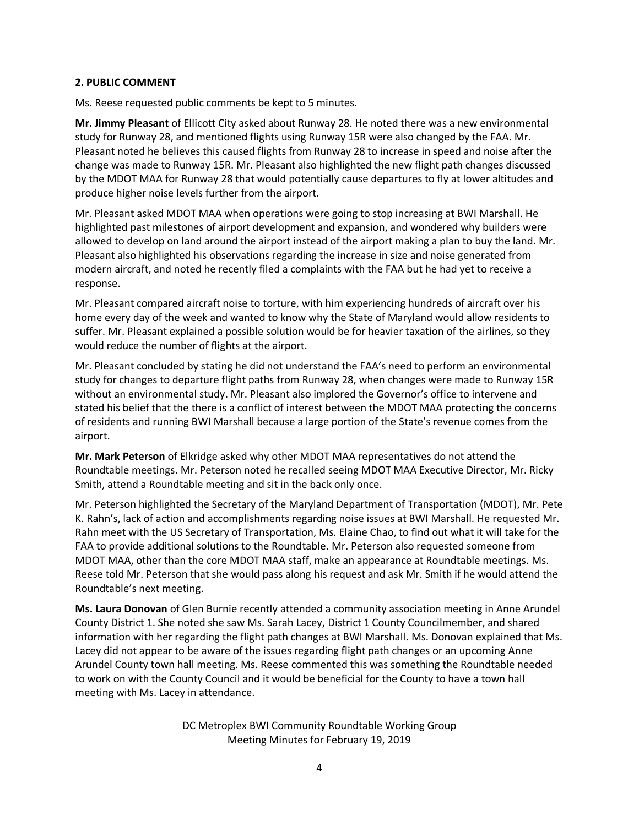### **2. PUBLIC COMMENT**

Ms. Reese requested public comments be kept to 5 minutes.

**Mr. Jimmy Pleasant** of Ellicott City asked about Runway 28. He noted there was a new environmental study for Runway 28, and mentioned flights using Runway 15R were also changed by the FAA. Mr. Pleasant noted he believes this caused flights from Runway 28 to increase in speed and noise after the change was made to Runway 15R. Mr. Pleasant also highlighted the new flight path changes discussed by the MDOT MAA for Runway 28 that would potentially cause departures to fly at lower altitudes and produce higher noise levels further from the airport.

Mr. Pleasant asked MDOT MAA when operations were going to stop increasing at BWI Marshall. He highlighted past milestones of airport development and expansion, and wondered why builders were allowed to develop on land around the airport instead of the airport making a plan to buy the land. Mr. Pleasant also highlighted his observations regarding the increase in size and noise generated from modern aircraft, and noted he recently filed a complaints with the FAA but he had yet to receive a response.

Mr. Pleasant compared aircraft noise to torture, with him experiencing hundreds of aircraft over his home every day of the week and wanted to know why the State of Maryland would allow residents to suffer. Mr. Pleasant explained a possible solution would be for heavier taxation of the airlines, so they would reduce the number of flights at the airport.

Mr. Pleasant concluded by stating he did not understand the FAA's need to perform an environmental study for changes to departure flight paths from Runway 28, when changes were made to Runway 15R without an environmental study. Mr. Pleasant also implored the Governor's office to intervene and stated his belief that the there is a conflict of interest between the MDOT MAA protecting the concerns of residents and running BWI Marshall because a large portion of the State's revenue comes from the airport.

**Mr. Mark Peterson** of Elkridge asked why other MDOT MAA representatives do not attend the Roundtable meetings. Mr. Peterson noted he recalled seeing MDOT MAA Executive Director, Mr. Ricky Smith, attend a Roundtable meeting and sit in the back only once.

Mr. Peterson highlighted the Secretary of the Maryland Department of Transportation (MDOT), Mr. Pete K. Rahn's, lack of action and accomplishments regarding noise issues at BWI Marshall. He requested Mr. Rahn meet with the US Secretary of Transportation, Ms. Elaine Chao, to find out what it will take for the FAA to provide additional solutions to the Roundtable. Mr. Peterson also requested someone from MDOT MAA, other than the core MDOT MAA staff, make an appearance at Roundtable meetings. Ms. Reese told Mr. Peterson that she would pass along his request and ask Mr. Smith if he would attend the Roundtable's next meeting.

**Ms. Laura Donovan** of Glen Burnie recently attended a community association meeting in Anne Arundel County District 1. She noted she saw Ms. Sarah Lacey, District 1 County Councilmember, and shared information with her regarding the flight path changes at BWI Marshall. Ms. Donovan explained that Ms. Lacey did not appear to be aware of the issues regarding flight path changes or an upcoming Anne Arundel County town hall meeting. Ms. Reese commented this was something the Roundtable needed to work on with the County Council and it would be beneficial for the County to have a town hall meeting with Ms. Lacey in attendance.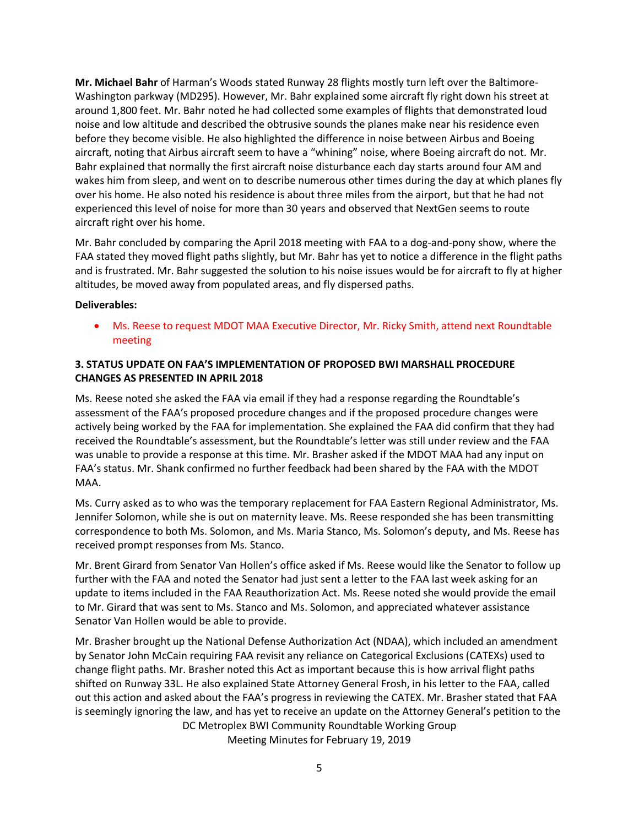**Mr. Michael Bahr** of Harman's Woods stated Runway 28 flights mostly turn left over the Baltimore-Washington parkway (MD295). However, Mr. Bahr explained some aircraft fly right down his street at around 1,800 feet. Mr. Bahr noted he had collected some examples of flights that demonstrated loud noise and low altitude and described the obtrusive sounds the planes make near his residence even before they become visible. He also highlighted the difference in noise between Airbus and Boeing aircraft, noting that Airbus aircraft seem to have a "whining" noise, where Boeing aircraft do not. Mr. Bahr explained that normally the first aircraft noise disturbance each day starts around four AM and wakes him from sleep, and went on to describe numerous other times during the day at which planes fly over his home. He also noted his residence is about three miles from the airport, but that he had not experienced this level of noise for more than 30 years and observed that NextGen seems to route aircraft right over his home.

Mr. Bahr concluded by comparing the April 2018 meeting with FAA to a dog-and-pony show, where the FAA stated they moved flight paths slightly, but Mr. Bahr has yet to notice a difference in the flight paths and is frustrated. Mr. Bahr suggested the solution to his noise issues would be for aircraft to fly at higher altitudes, be moved away from populated areas, and fly dispersed paths.

### **Deliverables:**

 Ms. Reese to request MDOT MAA Executive Director, Mr. Ricky Smith, attend next Roundtable meeting

### **3. STATUS UPDATE ON FAA'S IMPLEMENTATION OF PROPOSED BWI MARSHALL PROCEDURE CHANGES AS PRESENTED IN APRIL 2018**

Ms. Reese noted she asked the FAA via email if they had a response regarding the Roundtable's assessment of the FAA's proposed procedure changes and if the proposed procedure changes were actively being worked by the FAA for implementation. She explained the FAA did confirm that they had received the Roundtable's assessment, but the Roundtable's letter was still under review and the FAA was unable to provide a response at this time. Mr. Brasher asked if the MDOT MAA had any input on FAA's status. Mr. Shank confirmed no further feedback had been shared by the FAA with the MDOT MAA.

Ms. Curry asked as to who was the temporary replacement for FAA Eastern Regional Administrator, Ms. Jennifer Solomon, while she is out on maternity leave. Ms. Reese responded she has been transmitting correspondence to both Ms. Solomon, and Ms. Maria Stanco, Ms. Solomon's deputy, and Ms. Reese has received prompt responses from Ms. Stanco.

Mr. Brent Girard from Senator Van Hollen's office asked if Ms. Reese would like the Senator to follow up further with the FAA and noted the Senator had just sent a letter to the FAA last week asking for an update to items included in the FAA Reauthorization Act. Ms. Reese noted she would provide the email to Mr. Girard that was sent to Ms. Stanco and Ms. Solomon, and appreciated whatever assistance Senator Van Hollen would be able to provide.

DC Metroplex BWI Community Roundtable Working Group Meeting Minutes for February 19, 2019 Mr. Brasher brought up the National Defense Authorization Act (NDAA), which included an amendment by Senator John McCain requiring FAA revisit any reliance on Categorical Exclusions (CATEXs) used to change flight paths. Mr. Brasher noted this Act as important because this is how arrival flight paths shifted on Runway 33L. He also explained State Attorney General Frosh, in his letter to the FAA, called out this action and asked about the FAA's progress in reviewing the CATEX. Mr. Brasher stated that FAA is seemingly ignoring the law, and has yet to receive an update on the Attorney General's petition to the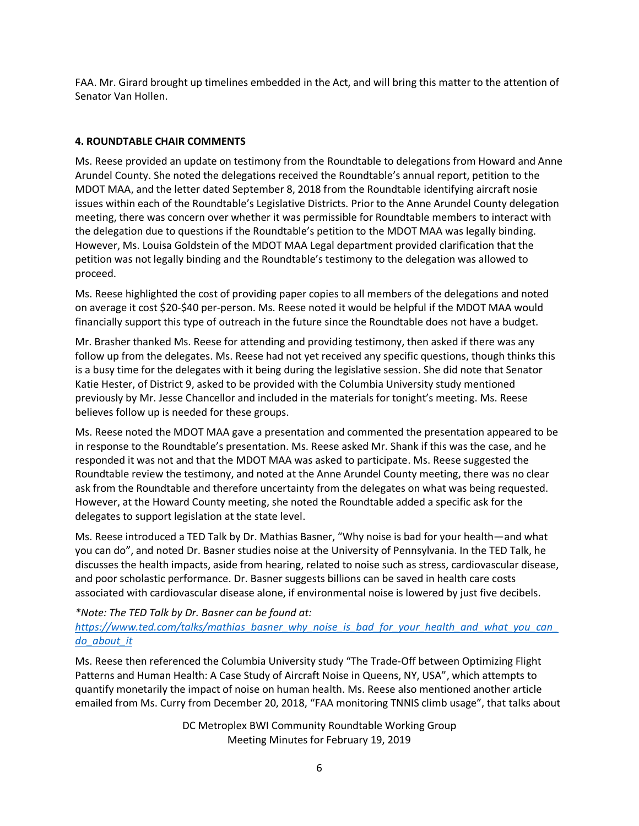FAA. Mr. Girard brought up timelines embedded in the Act, and will bring this matter to the attention of Senator Van Hollen.

# **4. ROUNDTABLE CHAIR COMMENTS**

Ms. Reese provided an update on testimony from the Roundtable to delegations from Howard and Anne Arundel County. She noted the delegations received the Roundtable's annual report, petition to the MDOT MAA, and the letter dated September 8, 2018 from the Roundtable identifying aircraft nosie issues within each of the Roundtable's Legislative Districts. Prior to the Anne Arundel County delegation meeting, there was concern over whether it was permissible for Roundtable members to interact with the delegation due to questions if the Roundtable's petition to the MDOT MAA was legally binding. However, Ms. Louisa Goldstein of the MDOT MAA Legal department provided clarification that the petition was not legally binding and the Roundtable's testimony to the delegation was allowed to proceed.

Ms. Reese highlighted the cost of providing paper copies to all members of the delegations and noted on average it cost \$20-\$40 per-person. Ms. Reese noted it would be helpful if the MDOT MAA would financially support this type of outreach in the future since the Roundtable does not have a budget.

Mr. Brasher thanked Ms. Reese for attending and providing testimony, then asked if there was any follow up from the delegates. Ms. Reese had not yet received any specific questions, though thinks this is a busy time for the delegates with it being during the legislative session. She did note that Senator Katie Hester, of District 9, asked to be provided with the Columbia University study mentioned previously by Mr. Jesse Chancellor and included in the materials for tonight's meeting. Ms. Reese believes follow up is needed for these groups.

Ms. Reese noted the MDOT MAA gave a presentation and commented the presentation appeared to be in response to the Roundtable's presentation. Ms. Reese asked Mr. Shank if this was the case, and he responded it was not and that the MDOT MAA was asked to participate. Ms. Reese suggested the Roundtable review the testimony, and noted at the Anne Arundel County meeting, there was no clear ask from the Roundtable and therefore uncertainty from the delegates on what was being requested. However, at the Howard County meeting, she noted the Roundtable added a specific ask for the delegates to support legislation at the state level.

Ms. Reese introduced a TED Talk by Dr. Mathias Basner, "Why noise is bad for your health—and what you can do", and noted Dr. Basner studies noise at the University of Pennsylvania. In the TED Talk, he discusses the health impacts, aside from hearing, related to noise such as stress, cardiovascular disease, and poor scholastic performance. Dr. Basner suggests billions can be saved in health care costs associated with cardiovascular disease alone, if environmental noise is lowered by just five decibels.

# *\*Note: The TED Talk by Dr. Basner can be found at: [https://www.ted.com/talks/mathias\\_basner\\_why\\_noise\\_is\\_bad\\_for\\_your\\_health\\_and\\_what\\_you\\_can\\_](https://www.ted.com/talks/mathias_basner_why_noise_is_bad_for_your_health_and_what_you_can_do_about_it) [do\\_about\\_it](https://www.ted.com/talks/mathias_basner_why_noise_is_bad_for_your_health_and_what_you_can_do_about_it)*

Ms. Reese then referenced the Columbia University study "The Trade-Off between Optimizing Flight Patterns and Human Health: A Case Study of Aircraft Noise in Queens, NY, USA", which attempts to quantify monetarily the impact of noise on human health. Ms. Reese also mentioned another article emailed from Ms. Curry from December 20, 2018, "FAA monitoring TNNIS climb usage", that talks about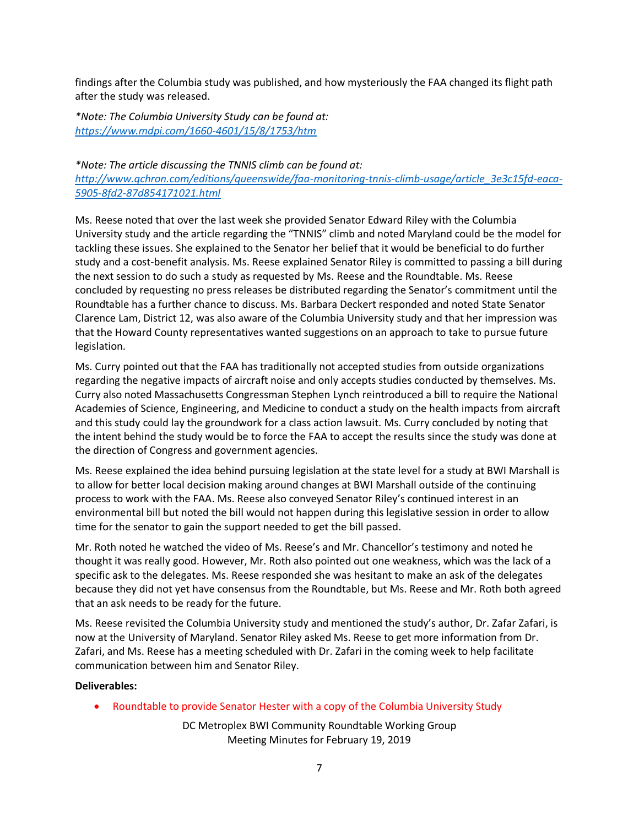findings after the Columbia study was published, and how mysteriously the FAA changed its flight path after the study was released.

*\*Note: The Columbia University Study can be found at: <https://www.mdpi.com/1660-4601/15/8/1753/htm>*

# *\*Note: The article discussing the TNNIS climb can be found at: [http://www.qchron.com/editions/queenswide/faa-monitoring-tnnis-climb-usage/article\\_3e3c15fd-eaca-](http://www.qchron.com/editions/queenswide/faa-monitoring-tnnis-climb-usage/article_3e3c15fd-eaca-5905-8fd2-87d854171021.html)[5905-8fd2-87d854171021.html](http://www.qchron.com/editions/queenswide/faa-monitoring-tnnis-climb-usage/article_3e3c15fd-eaca-5905-8fd2-87d854171021.html)*

Ms. Reese noted that over the last week she provided Senator Edward Riley with the Columbia University study and the article regarding the "TNNIS" climb and noted Maryland could be the model for tackling these issues. She explained to the Senator her belief that it would be beneficial to do further study and a cost-benefit analysis. Ms. Reese explained Senator Riley is committed to passing a bill during the next session to do such a study as requested by Ms. Reese and the Roundtable. Ms. Reese concluded by requesting no press releases be distributed regarding the Senator's commitment until the Roundtable has a further chance to discuss. Ms. Barbara Deckert responded and noted State Senator Clarence Lam, District 12, was also aware of the Columbia University study and that her impression was that the Howard County representatives wanted suggestions on an approach to take to pursue future legislation.

Ms. Curry pointed out that the FAA has traditionally not accepted studies from outside organizations regarding the negative impacts of aircraft noise and only accepts studies conducted by themselves. Ms. Curry also noted Massachusetts Congressman Stephen Lynch reintroduced a bill to require the National Academies of Science, Engineering, and Medicine to conduct a study on the health impacts from aircraft and this study could lay the groundwork for a class action lawsuit. Ms. Curry concluded by noting that the intent behind the study would be to force the FAA to accept the results since the study was done at the direction of Congress and government agencies.

Ms. Reese explained the idea behind pursuing legislation at the state level for a study at BWI Marshall is to allow for better local decision making around changes at BWI Marshall outside of the continuing process to work with the FAA. Ms. Reese also conveyed Senator Riley's continued interest in an environmental bill but noted the bill would not happen during this legislative session in order to allow time for the senator to gain the support needed to get the bill passed.

Mr. Roth noted he watched the video of Ms. Reese's and Mr. Chancellor's testimony and noted he thought it was really good. However, Mr. Roth also pointed out one weakness, which was the lack of a specific ask to the delegates. Ms. Reese responded she was hesitant to make an ask of the delegates because they did not yet have consensus from the Roundtable, but Ms. Reese and Mr. Roth both agreed that an ask needs to be ready for the future.

Ms. Reese revisited the Columbia University study and mentioned the study's author, Dr. Zafar Zafari, is now at the University of Maryland. Senator Riley asked Ms. Reese to get more information from Dr. Zafari, and Ms. Reese has a meeting scheduled with Dr. Zafari in the coming week to help facilitate communication between him and Senator Riley.

### **Deliverables:**

Roundtable to provide Senator Hester with a copy of the Columbia University Study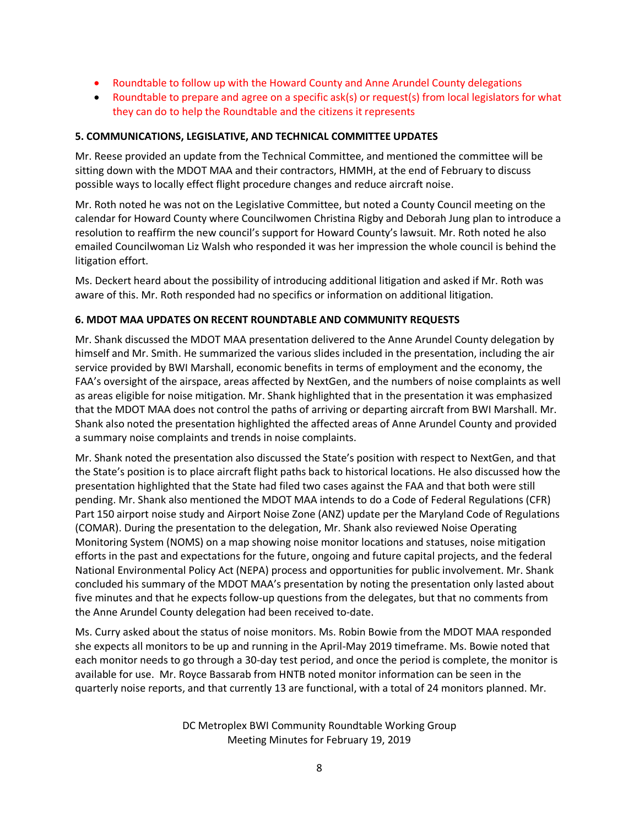- Roundtable to follow up with the Howard County and Anne Arundel County delegations
- Roundtable to prepare and agree on a specific ask(s) or request(s) from local legislators for what they can do to help the Roundtable and the citizens it represents

### **5. COMMUNICATIONS, LEGISLATIVE, AND TECHNICAL COMMITTEE UPDATES**

Mr. Reese provided an update from the Technical Committee, and mentioned the committee will be sitting down with the MDOT MAA and their contractors, HMMH, at the end of February to discuss possible ways to locally effect flight procedure changes and reduce aircraft noise.

Mr. Roth noted he was not on the Legislative Committee, but noted a County Council meeting on the calendar for Howard County where Councilwomen Christina Rigby and Deborah Jung plan to introduce a resolution to reaffirm the new council's support for Howard County's lawsuit. Mr. Roth noted he also emailed Councilwoman Liz Walsh who responded it was her impression the whole council is behind the litigation effort.

Ms. Deckert heard about the possibility of introducing additional litigation and asked if Mr. Roth was aware of this. Mr. Roth responded had no specifics or information on additional litigation.

### **6. MDOT MAA UPDATES ON RECENT ROUNDTABLE AND COMMUNITY REQUESTS**

Mr. Shank discussed the MDOT MAA presentation delivered to the Anne Arundel County delegation by himself and Mr. Smith. He summarized the various slides included in the presentation, including the air service provided by BWI Marshall, economic benefits in terms of employment and the economy, the FAA's oversight of the airspace, areas affected by NextGen, and the numbers of noise complaints as well as areas eligible for noise mitigation. Mr. Shank highlighted that in the presentation it was emphasized that the MDOT MAA does not control the paths of arriving or departing aircraft from BWI Marshall. Mr. Shank also noted the presentation highlighted the affected areas of Anne Arundel County and provided a summary noise complaints and trends in noise complaints.

Mr. Shank noted the presentation also discussed the State's position with respect to NextGen, and that the State's position is to place aircraft flight paths back to historical locations. He also discussed how the presentation highlighted that the State had filed two cases against the FAA and that both were still pending. Mr. Shank also mentioned the MDOT MAA intends to do a Code of Federal Regulations (CFR) Part 150 airport noise study and Airport Noise Zone (ANZ) update per the Maryland Code of Regulations (COMAR). During the presentation to the delegation, Mr. Shank also reviewed Noise Operating Monitoring System (NOMS) on a map showing noise monitor locations and statuses, noise mitigation efforts in the past and expectations for the future, ongoing and future capital projects, and the federal National Environmental Policy Act (NEPA) process and opportunities for public involvement. Mr. Shank concluded his summary of the MDOT MAA's presentation by noting the presentation only lasted about five minutes and that he expects follow-up questions from the delegates, but that no comments from the Anne Arundel County delegation had been received to-date.

Ms. Curry asked about the status of noise monitors. Ms. Robin Bowie from the MDOT MAA responded she expects all monitors to be up and running in the April-May 2019 timeframe. Ms. Bowie noted that each monitor needs to go through a 30-day test period, and once the period is complete, the monitor is available for use. Mr. Royce Bassarab from HNTB noted monitor information can be seen in the quarterly noise reports, and that currently 13 are functional, with a total of 24 monitors planned. Mr.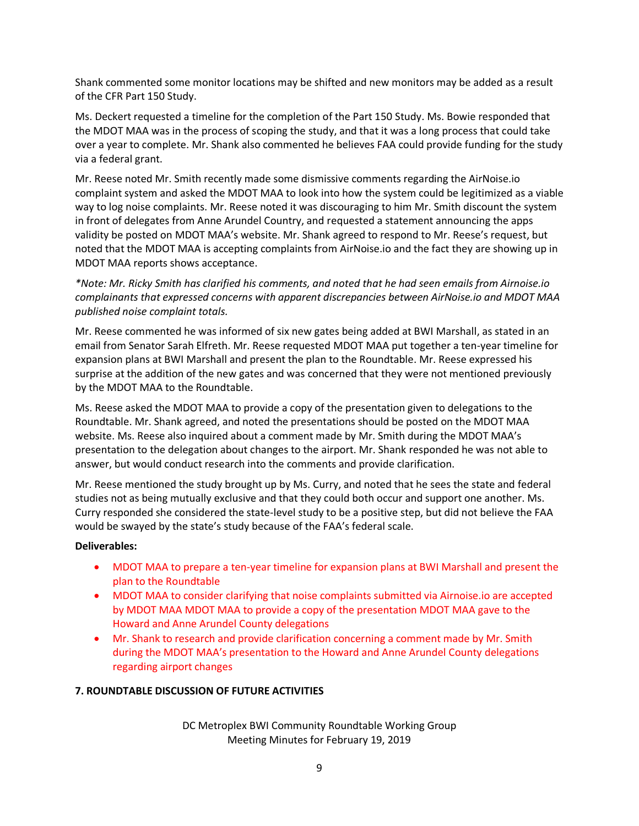Shank commented some monitor locations may be shifted and new monitors may be added as a result of the CFR Part 150 Study.

Ms. Deckert requested a timeline for the completion of the Part 150 Study. Ms. Bowie responded that the MDOT MAA was in the process of scoping the study, and that it was a long process that could take over a year to complete. Mr. Shank also commented he believes FAA could provide funding for the study via a federal grant.

Mr. Reese noted Mr. Smith recently made some dismissive comments regarding the AirNoise.io complaint system and asked the MDOT MAA to look into how the system could be legitimized as a viable way to log noise complaints. Mr. Reese noted it was discouraging to him Mr. Smith discount the system in front of delegates from Anne Arundel Country, and requested a statement announcing the apps validity be posted on MDOT MAA's website. Mr. Shank agreed to respond to Mr. Reese's request, but noted that the MDOT MAA is accepting complaints from AirNoise.io and the fact they are showing up in MDOT MAA reports shows acceptance.

*\*Note: Mr. Ricky Smith has clarified his comments, and noted that he had seen emails from Airnoise.io complainants that expressed concerns with apparent discrepancies between AirNoise.io and MDOT MAA published noise complaint totals.*

Mr. Reese commented he was informed of six new gates being added at BWI Marshall, as stated in an email from Senator Sarah Elfreth. Mr. Reese requested MDOT MAA put together a ten-year timeline for expansion plans at BWI Marshall and present the plan to the Roundtable. Mr. Reese expressed his surprise at the addition of the new gates and was concerned that they were not mentioned previously by the MDOT MAA to the Roundtable.

Ms. Reese asked the MDOT MAA to provide a copy of the presentation given to delegations to the Roundtable. Mr. Shank agreed, and noted the presentations should be posted on the MDOT MAA website. Ms. Reese also inquired about a comment made by Mr. Smith during the MDOT MAA's presentation to the delegation about changes to the airport. Mr. Shank responded he was not able to answer, but would conduct research into the comments and provide clarification.

Mr. Reese mentioned the study brought up by Ms. Curry, and noted that he sees the state and federal studies not as being mutually exclusive and that they could both occur and support one another. Ms. Curry responded she considered the state-level study to be a positive step, but did not believe the FAA would be swayed by the state's study because of the FAA's federal scale.

### **Deliverables:**

- MDOT MAA to prepare a ten-year timeline for expansion plans at BWI Marshall and present the plan to the Roundtable
- MDOT MAA to consider clarifying that noise complaints submitted via Airnoise.io are accepted by MDOT MAA MDOT MAA to provide a copy of the presentation MDOT MAA gave to the Howard and Anne Arundel County delegations
- Mr. Shank to research and provide clarification concerning a comment made by Mr. Smith during the MDOT MAA's presentation to the Howard and Anne Arundel County delegations regarding airport changes

# **7. ROUNDTABLE DISCUSSION OF FUTURE ACTIVITIES**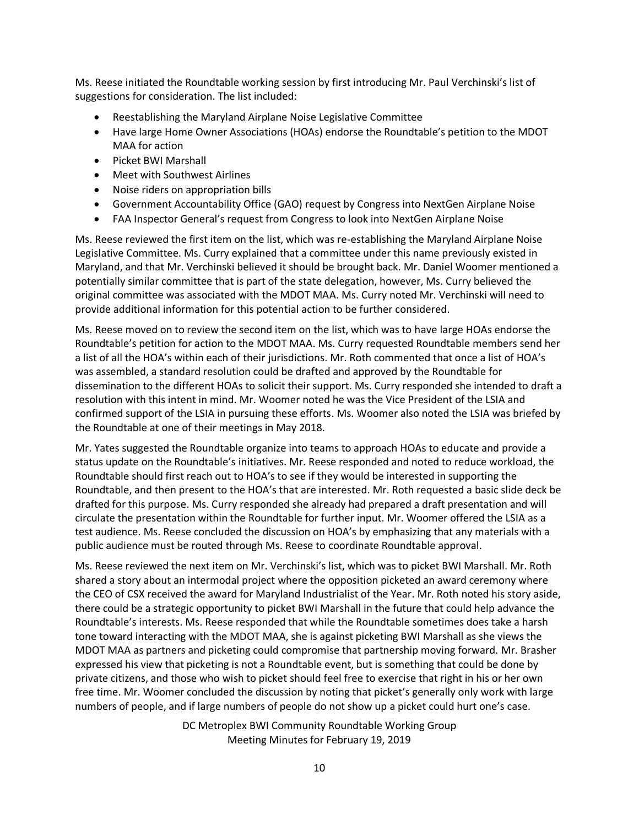Ms. Reese initiated the Roundtable working session by first introducing Mr. Paul Verchinski's list of suggestions for consideration. The list included:

- Reestablishing the Maryland Airplane Noise Legislative Committee
- Have large Home Owner Associations (HOAs) endorse the Roundtable's petition to the MDOT MAA for action
- Picket BWI Marshall
- Meet with Southwest Airlines
- Noise riders on appropriation bills
- Government Accountability Office (GAO) request by Congress into NextGen Airplane Noise
- FAA Inspector General's request from Congress to look into NextGen Airplane Noise

Ms. Reese reviewed the first item on the list, which was re-establishing the Maryland Airplane Noise Legislative Committee. Ms. Curry explained that a committee under this name previously existed in Maryland, and that Mr. Verchinski believed it should be brought back. Mr. Daniel Woomer mentioned a potentially similar committee that is part of the state delegation, however, Ms. Curry believed the original committee was associated with the MDOT MAA. Ms. Curry noted Mr. Verchinski will need to provide additional information for this potential action to be further considered.

Ms. Reese moved on to review the second item on the list, which was to have large HOAs endorse the Roundtable's petition for action to the MDOT MAA. Ms. Curry requested Roundtable members send her a list of all the HOA's within each of their jurisdictions. Mr. Roth commented that once a list of HOA's was assembled, a standard resolution could be drafted and approved by the Roundtable for dissemination to the different HOAs to solicit their support. Ms. Curry responded she intended to draft a resolution with this intent in mind. Mr. Woomer noted he was the Vice President of the LSIA and confirmed support of the LSIA in pursuing these efforts. Ms. Woomer also noted the LSIA was briefed by the Roundtable at one of their meetings in May 2018.

Mr. Yates suggested the Roundtable organize into teams to approach HOAs to educate and provide a status update on the Roundtable's initiatives. Mr. Reese responded and noted to reduce workload, the Roundtable should first reach out to HOA's to see if they would be interested in supporting the Roundtable, and then present to the HOA's that are interested. Mr. Roth requested a basic slide deck be drafted for this purpose. Ms. Curry responded she already had prepared a draft presentation and will circulate the presentation within the Roundtable for further input. Mr. Woomer offered the LSIA as a test audience. Ms. Reese concluded the discussion on HOA's by emphasizing that any materials with a public audience must be routed through Ms. Reese to coordinate Roundtable approval.

Ms. Reese reviewed the next item on Mr. Verchinski's list, which was to picket BWI Marshall. Mr. Roth shared a story about an intermodal project where the opposition picketed an award ceremony where the CEO of CSX received the award for Maryland Industrialist of the Year. Mr. Roth noted his story aside, there could be a strategic opportunity to picket BWI Marshall in the future that could help advance the Roundtable's interests. Ms. Reese responded that while the Roundtable sometimes does take a harsh tone toward interacting with the MDOT MAA, she is against picketing BWI Marshall as she views the MDOT MAA as partners and picketing could compromise that partnership moving forward. Mr. Brasher expressed his view that picketing is not a Roundtable event, but is something that could be done by private citizens, and those who wish to picket should feel free to exercise that right in his or her own free time. Mr. Woomer concluded the discussion by noting that picket's generally only work with large numbers of people, and if large numbers of people do not show up a picket could hurt one's case.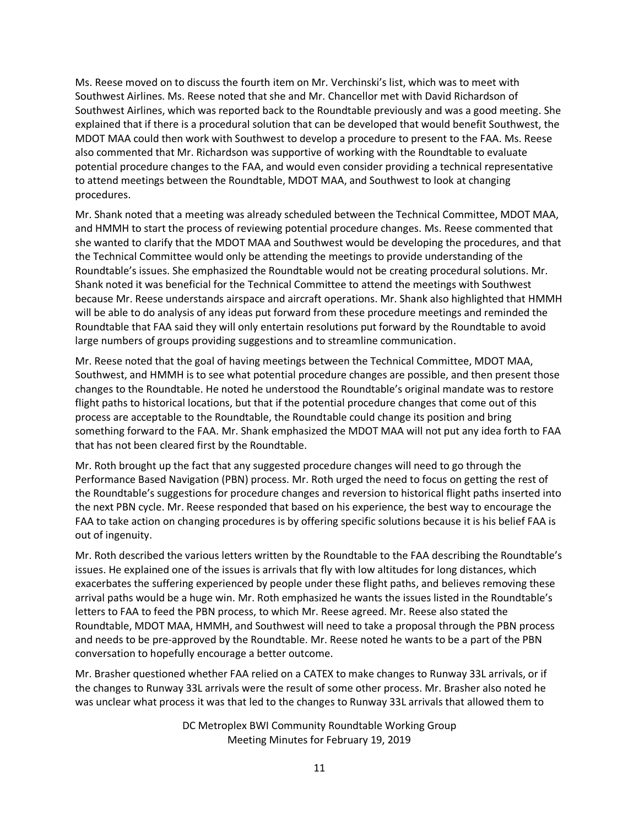Ms. Reese moved on to discuss the fourth item on Mr. Verchinski's list, which was to meet with Southwest Airlines. Ms. Reese noted that she and Mr. Chancellor met with David Richardson of Southwest Airlines, which was reported back to the Roundtable previously and was a good meeting. She explained that if there is a procedural solution that can be developed that would benefit Southwest, the MDOT MAA could then work with Southwest to develop a procedure to present to the FAA. Ms. Reese also commented that Mr. Richardson was supportive of working with the Roundtable to evaluate potential procedure changes to the FAA, and would even consider providing a technical representative to attend meetings between the Roundtable, MDOT MAA, and Southwest to look at changing procedures.

Mr. Shank noted that a meeting was already scheduled between the Technical Committee, MDOT MAA, and HMMH to start the process of reviewing potential procedure changes. Ms. Reese commented that she wanted to clarify that the MDOT MAA and Southwest would be developing the procedures, and that the Technical Committee would only be attending the meetings to provide understanding of the Roundtable's issues. She emphasized the Roundtable would not be creating procedural solutions. Mr. Shank noted it was beneficial for the Technical Committee to attend the meetings with Southwest because Mr. Reese understands airspace and aircraft operations. Mr. Shank also highlighted that HMMH will be able to do analysis of any ideas put forward from these procedure meetings and reminded the Roundtable that FAA said they will only entertain resolutions put forward by the Roundtable to avoid large numbers of groups providing suggestions and to streamline communication.

Mr. Reese noted that the goal of having meetings between the Technical Committee, MDOT MAA, Southwest, and HMMH is to see what potential procedure changes are possible, and then present those changes to the Roundtable. He noted he understood the Roundtable's original mandate was to restore flight paths to historical locations, but that if the potential procedure changes that come out of this process are acceptable to the Roundtable, the Roundtable could change its position and bring something forward to the FAA. Mr. Shank emphasized the MDOT MAA will not put any idea forth to FAA that has not been cleared first by the Roundtable.

Mr. Roth brought up the fact that any suggested procedure changes will need to go through the Performance Based Navigation (PBN) process. Mr. Roth urged the need to focus on getting the rest of the Roundtable's suggestions for procedure changes and reversion to historical flight paths inserted into the next PBN cycle. Mr. Reese responded that based on his experience, the best way to encourage the FAA to take action on changing procedures is by offering specific solutions because it is his belief FAA is out of ingenuity.

Mr. Roth described the various letters written by the Roundtable to the FAA describing the Roundtable's issues. He explained one of the issues is arrivals that fly with low altitudes for long distances, which exacerbates the suffering experienced by people under these flight paths, and believes removing these arrival paths would be a huge win. Mr. Roth emphasized he wants the issues listed in the Roundtable's letters to FAA to feed the PBN process, to which Mr. Reese agreed. Mr. Reese also stated the Roundtable, MDOT MAA, HMMH, and Southwest will need to take a proposal through the PBN process and needs to be pre-approved by the Roundtable. Mr. Reese noted he wants to be a part of the PBN conversation to hopefully encourage a better outcome.

Mr. Brasher questioned whether FAA relied on a CATEX to make changes to Runway 33L arrivals, or if the changes to Runway 33L arrivals were the result of some other process. Mr. Brasher also noted he was unclear what process it was that led to the changes to Runway 33L arrivals that allowed them to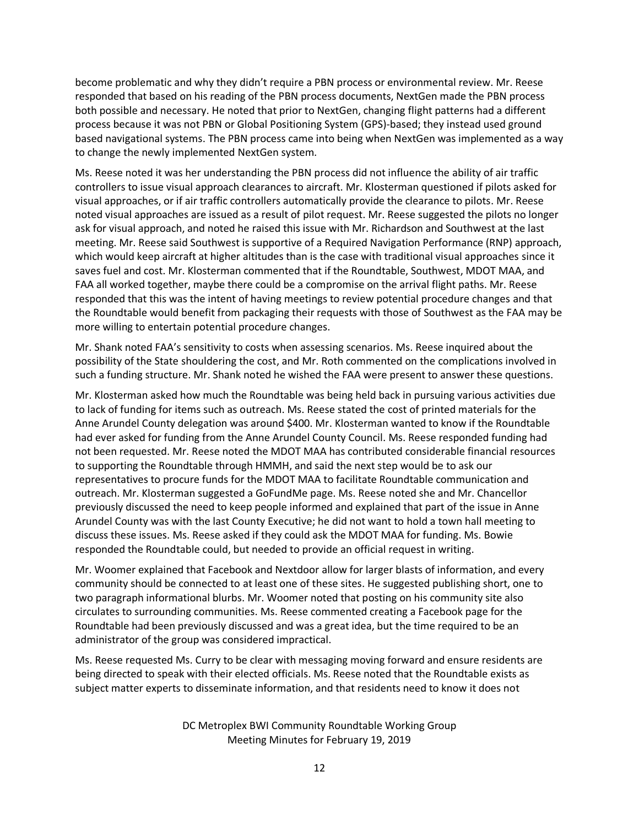become problematic and why they didn't require a PBN process or environmental review. Mr. Reese responded that based on his reading of the PBN process documents, NextGen made the PBN process both possible and necessary. He noted that prior to NextGen, changing flight patterns had a different process because it was not PBN or Global Positioning System (GPS)-based; they instead used ground based navigational systems. The PBN process came into being when NextGen was implemented as a way to change the newly implemented NextGen system.

Ms. Reese noted it was her understanding the PBN process did not influence the ability of air traffic controllers to issue visual approach clearances to aircraft. Mr. Klosterman questioned if pilots asked for visual approaches, or if air traffic controllers automatically provide the clearance to pilots. Mr. Reese noted visual approaches are issued as a result of pilot request. Mr. Reese suggested the pilots no longer ask for visual approach, and noted he raised this issue with Mr. Richardson and Southwest at the last meeting. Mr. Reese said Southwest is supportive of a Required Navigation Performance (RNP) approach, which would keep aircraft at higher altitudes than is the case with traditional visual approaches since it saves fuel and cost. Mr. Klosterman commented that if the Roundtable, Southwest, MDOT MAA, and FAA all worked together, maybe there could be a compromise on the arrival flight paths. Mr. Reese responded that this was the intent of having meetings to review potential procedure changes and that the Roundtable would benefit from packaging their requests with those of Southwest as the FAA may be more willing to entertain potential procedure changes.

Mr. Shank noted FAA's sensitivity to costs when assessing scenarios. Ms. Reese inquired about the possibility of the State shouldering the cost, and Mr. Roth commented on the complications involved in such a funding structure. Mr. Shank noted he wished the FAA were present to answer these questions.

Mr. Klosterman asked how much the Roundtable was being held back in pursuing various activities due to lack of funding for items such as outreach. Ms. Reese stated the cost of printed materials for the Anne Arundel County delegation was around \$400. Mr. Klosterman wanted to know if the Roundtable had ever asked for funding from the Anne Arundel County Council. Ms. Reese responded funding had not been requested. Mr. Reese noted the MDOT MAA has contributed considerable financial resources to supporting the Roundtable through HMMH, and said the next step would be to ask our representatives to procure funds for the MDOT MAA to facilitate Roundtable communication and outreach. Mr. Klosterman suggested a GoFundMe page. Ms. Reese noted she and Mr. Chancellor previously discussed the need to keep people informed and explained that part of the issue in Anne Arundel County was with the last County Executive; he did not want to hold a town hall meeting to discuss these issues. Ms. Reese asked if they could ask the MDOT MAA for funding. Ms. Bowie responded the Roundtable could, but needed to provide an official request in writing.

Mr. Woomer explained that Facebook and Nextdoor allow for larger blasts of information, and every community should be connected to at least one of these sites. He suggested publishing short, one to two paragraph informational blurbs. Mr. Woomer noted that posting on his community site also circulates to surrounding communities. Ms. Reese commented creating a Facebook page for the Roundtable had been previously discussed and was a great idea, but the time required to be an administrator of the group was considered impractical.

Ms. Reese requested Ms. Curry to be clear with messaging moving forward and ensure residents are being directed to speak with their elected officials. Ms. Reese noted that the Roundtable exists as subject matter experts to disseminate information, and that residents need to know it does not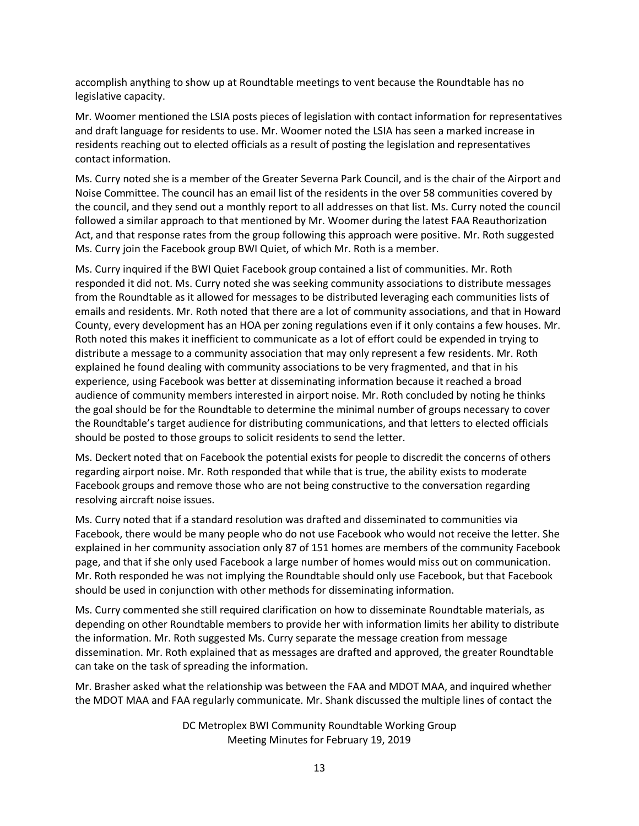accomplish anything to show up at Roundtable meetings to vent because the Roundtable has no legislative capacity.

Mr. Woomer mentioned the LSIA posts pieces of legislation with contact information for representatives and draft language for residents to use. Mr. Woomer noted the LSIA has seen a marked increase in residents reaching out to elected officials as a result of posting the legislation and representatives contact information.

Ms. Curry noted she is a member of the Greater Severna Park Council, and is the chair of the Airport and Noise Committee. The council has an email list of the residents in the over 58 communities covered by the council, and they send out a monthly report to all addresses on that list. Ms. Curry noted the council followed a similar approach to that mentioned by Mr. Woomer during the latest FAA Reauthorization Act, and that response rates from the group following this approach were positive. Mr. Roth suggested Ms. Curry join the Facebook group BWI Quiet, of which Mr. Roth is a member.

Ms. Curry inquired if the BWI Quiet Facebook group contained a list of communities. Mr. Roth responded it did not. Ms. Curry noted she was seeking community associations to distribute messages from the Roundtable as it allowed for messages to be distributed leveraging each communities lists of emails and residents. Mr. Roth noted that there are a lot of community associations, and that in Howard County, every development has an HOA per zoning regulations even if it only contains a few houses. Mr. Roth noted this makes it inefficient to communicate as a lot of effort could be expended in trying to distribute a message to a community association that may only represent a few residents. Mr. Roth explained he found dealing with community associations to be very fragmented, and that in his experience, using Facebook was better at disseminating information because it reached a broad audience of community members interested in airport noise. Mr. Roth concluded by noting he thinks the goal should be for the Roundtable to determine the minimal number of groups necessary to cover the Roundtable's target audience for distributing communications, and that letters to elected officials should be posted to those groups to solicit residents to send the letter.

Ms. Deckert noted that on Facebook the potential exists for people to discredit the concerns of others regarding airport noise. Mr. Roth responded that while that is true, the ability exists to moderate Facebook groups and remove those who are not being constructive to the conversation regarding resolving aircraft noise issues.

Ms. Curry noted that if a standard resolution was drafted and disseminated to communities via Facebook, there would be many people who do not use Facebook who would not receive the letter. She explained in her community association only 87 of 151 homes are members of the community Facebook page, and that if she only used Facebook a large number of homes would miss out on communication. Mr. Roth responded he was not implying the Roundtable should only use Facebook, but that Facebook should be used in conjunction with other methods for disseminating information.

Ms. Curry commented she still required clarification on how to disseminate Roundtable materials, as depending on other Roundtable members to provide her with information limits her ability to distribute the information. Mr. Roth suggested Ms. Curry separate the message creation from message dissemination. Mr. Roth explained that as messages are drafted and approved, the greater Roundtable can take on the task of spreading the information.

Mr. Brasher asked what the relationship was between the FAA and MDOT MAA, and inquired whether the MDOT MAA and FAA regularly communicate. Mr. Shank discussed the multiple lines of contact the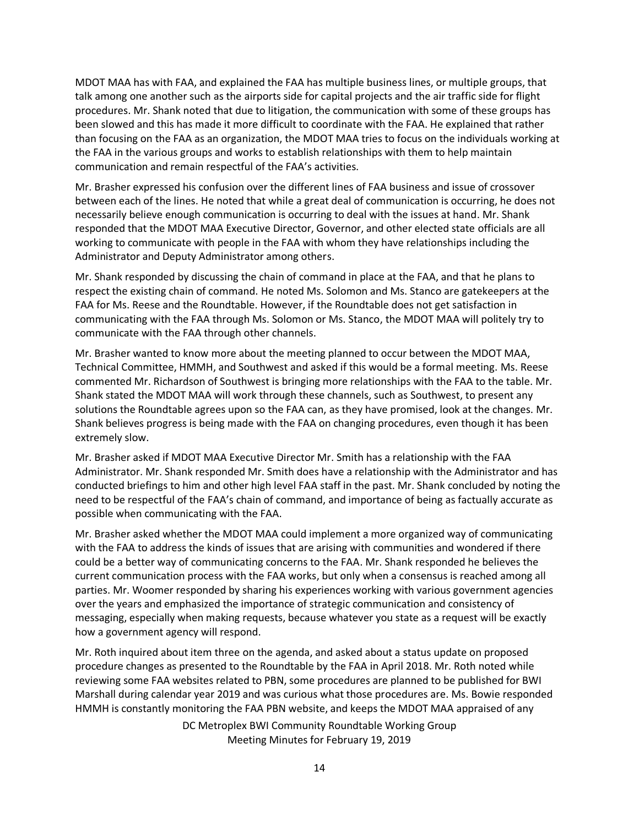MDOT MAA has with FAA, and explained the FAA has multiple business lines, or multiple groups, that talk among one another such as the airports side for capital projects and the air traffic side for flight procedures. Mr. Shank noted that due to litigation, the communication with some of these groups has been slowed and this has made it more difficult to coordinate with the FAA. He explained that rather than focusing on the FAA as an organization, the MDOT MAA tries to focus on the individuals working at the FAA in the various groups and works to establish relationships with them to help maintain communication and remain respectful of the FAA's activities.

Mr. Brasher expressed his confusion over the different lines of FAA business and issue of crossover between each of the lines. He noted that while a great deal of communication is occurring, he does not necessarily believe enough communication is occurring to deal with the issues at hand. Mr. Shank responded that the MDOT MAA Executive Director, Governor, and other elected state officials are all working to communicate with people in the FAA with whom they have relationships including the Administrator and Deputy Administrator among others.

Mr. Shank responded by discussing the chain of command in place at the FAA, and that he plans to respect the existing chain of command. He noted Ms. Solomon and Ms. Stanco are gatekeepers at the FAA for Ms. Reese and the Roundtable. However, if the Roundtable does not get satisfaction in communicating with the FAA through Ms. Solomon or Ms. Stanco, the MDOT MAA will politely try to communicate with the FAA through other channels.

Mr. Brasher wanted to know more about the meeting planned to occur between the MDOT MAA, Technical Committee, HMMH, and Southwest and asked if this would be a formal meeting. Ms. Reese commented Mr. Richardson of Southwest is bringing more relationships with the FAA to the table. Mr. Shank stated the MDOT MAA will work through these channels, such as Southwest, to present any solutions the Roundtable agrees upon so the FAA can, as they have promised, look at the changes. Mr. Shank believes progress is being made with the FAA on changing procedures, even though it has been extremely slow.

Mr. Brasher asked if MDOT MAA Executive Director Mr. Smith has a relationship with the FAA Administrator. Mr. Shank responded Mr. Smith does have a relationship with the Administrator and has conducted briefings to him and other high level FAA staff in the past. Mr. Shank concluded by noting the need to be respectful of the FAA's chain of command, and importance of being as factually accurate as possible when communicating with the FAA.

Mr. Brasher asked whether the MDOT MAA could implement a more organized way of communicating with the FAA to address the kinds of issues that are arising with communities and wondered if there could be a better way of communicating concerns to the FAA. Mr. Shank responded he believes the current communication process with the FAA works, but only when a consensus is reached among all parties. Mr. Woomer responded by sharing his experiences working with various government agencies over the years and emphasized the importance of strategic communication and consistency of messaging, especially when making requests, because whatever you state as a request will be exactly how a government agency will respond.

Mr. Roth inquired about item three on the agenda, and asked about a status update on proposed procedure changes as presented to the Roundtable by the FAA in April 2018. Mr. Roth noted while reviewing some FAA websites related to PBN, some procedures are planned to be published for BWI Marshall during calendar year 2019 and was curious what those procedures are. Ms. Bowie responded HMMH is constantly monitoring the FAA PBN website, and keeps the MDOT MAA appraised of any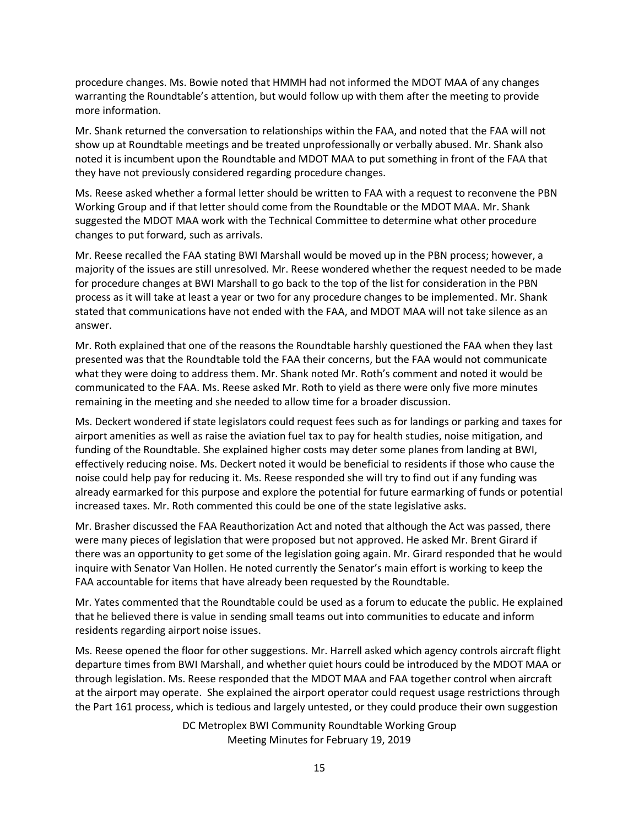procedure changes. Ms. Bowie noted that HMMH had not informed the MDOT MAA of any changes warranting the Roundtable's attention, but would follow up with them after the meeting to provide more information.

Mr. Shank returned the conversation to relationships within the FAA, and noted that the FAA will not show up at Roundtable meetings and be treated unprofessionally or verbally abused. Mr. Shank also noted it is incumbent upon the Roundtable and MDOT MAA to put something in front of the FAA that they have not previously considered regarding procedure changes.

Ms. Reese asked whether a formal letter should be written to FAA with a request to reconvene the PBN Working Group and if that letter should come from the Roundtable or the MDOT MAA. Mr. Shank suggested the MDOT MAA work with the Technical Committee to determine what other procedure changes to put forward, such as arrivals.

Mr. Reese recalled the FAA stating BWI Marshall would be moved up in the PBN process; however, a majority of the issues are still unresolved. Mr. Reese wondered whether the request needed to be made for procedure changes at BWI Marshall to go back to the top of the list for consideration in the PBN process as it will take at least a year or two for any procedure changes to be implemented. Mr. Shank stated that communications have not ended with the FAA, and MDOT MAA will not take silence as an answer.

Mr. Roth explained that one of the reasons the Roundtable harshly questioned the FAA when they last presented was that the Roundtable told the FAA their concerns, but the FAA would not communicate what they were doing to address them. Mr. Shank noted Mr. Roth's comment and noted it would be communicated to the FAA. Ms. Reese asked Mr. Roth to yield as there were only five more minutes remaining in the meeting and she needed to allow time for a broader discussion.

Ms. Deckert wondered if state legislators could request fees such as for landings or parking and taxes for airport amenities as well as raise the aviation fuel tax to pay for health studies, noise mitigation, and funding of the Roundtable. She explained higher costs may deter some planes from landing at BWI, effectively reducing noise. Ms. Deckert noted it would be beneficial to residents if those who cause the noise could help pay for reducing it. Ms. Reese responded she will try to find out if any funding was already earmarked for this purpose and explore the potential for future earmarking of funds or potential increased taxes. Mr. Roth commented this could be one of the state legislative asks.

Mr. Brasher discussed the FAA Reauthorization Act and noted that although the Act was passed, there were many pieces of legislation that were proposed but not approved. He asked Mr. Brent Girard if there was an opportunity to get some of the legislation going again. Mr. Girard responded that he would inquire with Senator Van Hollen. He noted currently the Senator's main effort is working to keep the FAA accountable for items that have already been requested by the Roundtable.

Mr. Yates commented that the Roundtable could be used as a forum to educate the public. He explained that he believed there is value in sending small teams out into communities to educate and inform residents regarding airport noise issues.

Ms. Reese opened the floor for other suggestions. Mr. Harrell asked which agency controls aircraft flight departure times from BWI Marshall, and whether quiet hours could be introduced by the MDOT MAA or through legislation. Ms. Reese responded that the MDOT MAA and FAA together control when aircraft at the airport may operate. She explained the airport operator could request usage restrictions through the Part 161 process, which is tedious and largely untested, or they could produce their own suggestion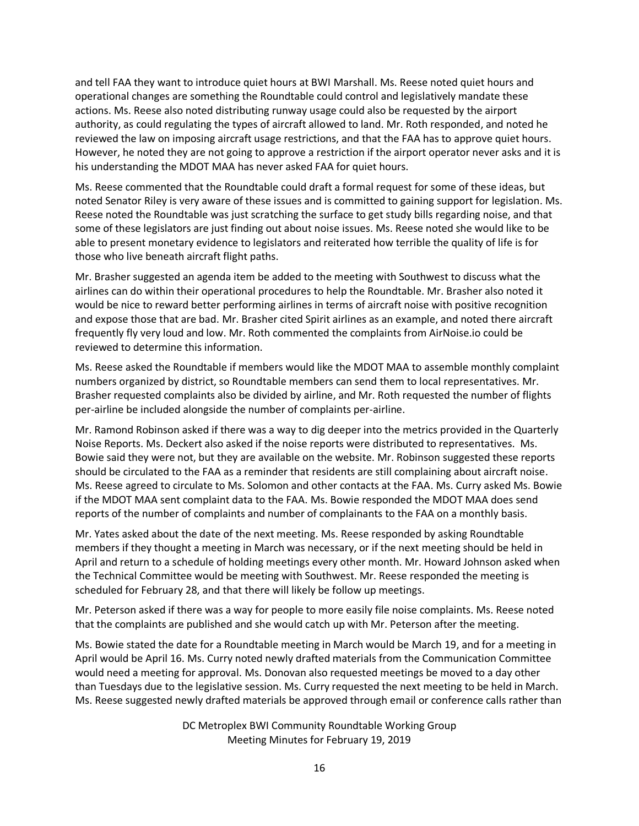and tell FAA they want to introduce quiet hours at BWI Marshall. Ms. Reese noted quiet hours and operational changes are something the Roundtable could control and legislatively mandate these actions. Ms. Reese also noted distributing runway usage could also be requested by the airport authority, as could regulating the types of aircraft allowed to land. Mr. Roth responded, and noted he reviewed the law on imposing aircraft usage restrictions, and that the FAA has to approve quiet hours. However, he noted they are not going to approve a restriction if the airport operator never asks and it is his understanding the MDOT MAA has never asked FAA for quiet hours.

Ms. Reese commented that the Roundtable could draft a formal request for some of these ideas, but noted Senator Riley is very aware of these issues and is committed to gaining support for legislation. Ms. Reese noted the Roundtable was just scratching the surface to get study bills regarding noise, and that some of these legislators are just finding out about noise issues. Ms. Reese noted she would like to be able to present monetary evidence to legislators and reiterated how terrible the quality of life is for those who live beneath aircraft flight paths.

Mr. Brasher suggested an agenda item be added to the meeting with Southwest to discuss what the airlines can do within their operational procedures to help the Roundtable. Mr. Brasher also noted it would be nice to reward better performing airlines in terms of aircraft noise with positive recognition and expose those that are bad. Mr. Brasher cited Spirit airlines as an example, and noted there aircraft frequently fly very loud and low. Mr. Roth commented the complaints from AirNoise.io could be reviewed to determine this information.

Ms. Reese asked the Roundtable if members would like the MDOT MAA to assemble monthly complaint numbers organized by district, so Roundtable members can send them to local representatives. Mr. Brasher requested complaints also be divided by airline, and Mr. Roth requested the number of flights per-airline be included alongside the number of complaints per-airline.

Mr. Ramond Robinson asked if there was a way to dig deeper into the metrics provided in the Quarterly Noise Reports. Ms. Deckert also asked if the noise reports were distributed to representatives. Ms. Bowie said they were not, but they are available on the website. Mr. Robinson suggested these reports should be circulated to the FAA as a reminder that residents are still complaining about aircraft noise. Ms. Reese agreed to circulate to Ms. Solomon and other contacts at the FAA. Ms. Curry asked Ms. Bowie if the MDOT MAA sent complaint data to the FAA. Ms. Bowie responded the MDOT MAA does send reports of the number of complaints and number of complainants to the FAA on a monthly basis.

Mr. Yates asked about the date of the next meeting. Ms. Reese responded by asking Roundtable members if they thought a meeting in March was necessary, or if the next meeting should be held in April and return to a schedule of holding meetings every other month. Mr. Howard Johnson asked when the Technical Committee would be meeting with Southwest. Mr. Reese responded the meeting is scheduled for February 28, and that there will likely be follow up meetings.

Mr. Peterson asked if there was a way for people to more easily file noise complaints. Ms. Reese noted that the complaints are published and she would catch up with Mr. Peterson after the meeting.

Ms. Bowie stated the date for a Roundtable meeting in March would be March 19, and for a meeting in April would be April 16. Ms. Curry noted newly drafted materials from the Communication Committee would need a meeting for approval. Ms. Donovan also requested meetings be moved to a day other than Tuesdays due to the legislative session. Ms. Curry requested the next meeting to be held in March. Ms. Reese suggested newly drafted materials be approved through email or conference calls rather than